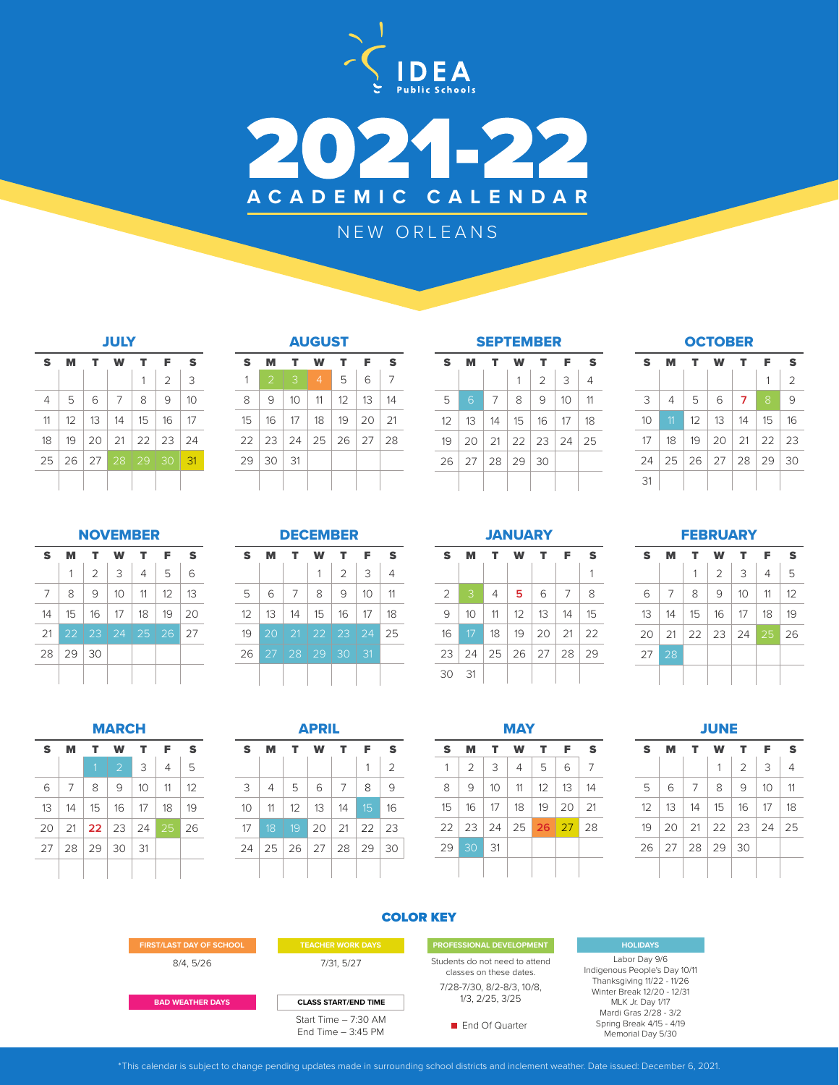



## NEW ORLEANS

|                | <b>JULY</b> |                |    |                 |                |    |  |  |
|----------------|-------------|----------------|----|-----------------|----------------|----|--|--|
| S              | м           | т              | W  | т               | F              | S  |  |  |
|                |             |                |    | 1               | $\overline{2}$ | 3  |  |  |
| $\overline{4}$ | 5           | 6              | 7  | 8               | 9              | 10 |  |  |
| 11             | 12          | 13             | 14 | 15              | 16             | 17 |  |  |
| 18             | 19          | 20             | 21 | 22 <sup>1</sup> | 23             | 24 |  |  |
| 25             | 26          | $\frac{27}{2}$ | 28 | 29              | 30             | 31 |  |  |
|                |             |                |    |                 |                |    |  |  |

|  | <b>AUGUST</b> |    |  |
|--|---------------|----|--|
|  |               | £. |  |

|   | $\mathcal{P}$                    | 3          | $\overline{4}$ | $5 -$ | 6          |    |
|---|----------------------------------|------------|----------------|-------|------------|----|
| 8 | 9                                | 10         | 11             | 12    | $13 \perp$ | 14 |
|   | 15   16   17   18   19   20      |            |                |       |            | 21 |
|   | 22   23   24   25   26   27   28 |            |                |       |            |    |
|   | 29 30                            | $\vert$ 31 |                |       |            |    |
|   |                                  |            |                |       |            |    |

| <b>SEPTEMBER</b> |                  |                      |    |               |    |     |  |
|------------------|------------------|----------------------|----|---------------|----|-----|--|
| s                | F<br>т<br>M<br>w |                      |    |               |    |     |  |
|                  |                  |                      | 1  | $\mathcal{P}$ | 3  | 4   |  |
| 5                | 6                | 7                    | 8  | 9             | 10 | 11  |  |
| 12               | 13               | 14                   | 15 | - 16          | 17 | 18  |  |
| 19               | 20               | 21                   |    | $22$ 23 24    |    | -25 |  |
| 26               |                  | $27 \mid 28 \mid 29$ |    | 30            |    |     |  |
|                  |                  |                      |    |               |    |     |  |

**OCTOBER** 

| S  | м              | т  | w                   | т  | F                  | S  |
|----|----------------|----|---------------------|----|--------------------|----|
|    |                |    |                     |    | 1                  | 2  |
| 3  | $\overline{4}$ | 5  | 6                   | 7  | 8                  | 9  |
| 10 | 11             | 12 | 13                  | 14 | 15                 | 16 |
| 17 | 18             | 19 | 20                  | 21 | $\vert$ 22 $\vert$ | 23 |
| 24 | 25             |    | $26$   27   28   29 |    |                    | 30 |
| 31 |                |    |                     |    |                    |    |

#### NOVEMBER

| S  | м       | т              | w  | т              | F  | S  |
|----|---------|----------------|----|----------------|----|----|
|    | 1       | $\overline{2}$ | 3  | $\overline{4}$ | 5  | 6  |
| 7  | 8       | 9              | 10 | 11             | 12 | 13 |
| 14 | 15      | 16             | 17 | 18             | 19 | 20 |
| 21 | 22<br>۰ | 23             | 24 | 25             | 26 | 27 |
| 28 | 29      | 30             |    |                |    |    |
|    |         |                |    |                |    |    |

|  | . .<br>н. |                  |  |
|--|-----------|------------------|--|
|  |           | المستقال المسالا |  |
|  |           |                  |  |

| S  | м               | т          | w  | т                                                           | F               | S  |
|----|-----------------|------------|----|-------------------------------------------------------------|-----------------|----|
|    |                 |            | 1  | $\mathcal{D}$                                               | 3               | 4  |
| 5  | 6               | 7          | 8  | 9                                                           | 10              | 11 |
| 12 | 13              | $\vert$ 14 | 15 | $16 \mid$                                                   | 17              | 18 |
| 19 | 20              |            |    | $\parallel$ 21 $\parallel$ 22 $\parallel$ 23 $\parallel$ 24 |                 | 25 |
| 26 | $\overline{27}$ | $128$ 29   |    | 30<br>T.                                                    | $\overline{31}$ |    |
|    |                 |            |    |                                                             |                 |    |

# **JANUARY**

| S              |    |                             |    |                      | F  | S              |
|----------------|----|-----------------------------|----|----------------------|----|----------------|
|                |    |                             |    |                      |    | 1              |
| $\overline{2}$ | 3  | $\overline{4}$              | 5  | 6                    | 7  | 8              |
| 9              | 10 | 11                          | 12 | 13 <sup>7</sup>      | 14 | 15             |
| 16             | 17 | 18                          |    | $19 \mid 20 \mid 21$ |    | $\frac{22}{2}$ |
| 23             |    | 24   25   26   27   28   29 |    |                      |    |                |
| 30             | 31 |                             |    |                      |    |                |

**FEBRUARY** 

| S  |    | т  | w             | т  | F  | S  |
|----|----|----|---------------|----|----|----|
|    |    | 1  | $\mathcal{P}$ | 3  | 4  | 5  |
| 6  | 7  | 8  | 9             | 10 | 11 | 12 |
| 13 | 14 | 15 | - 16          | 17 | 18 | 19 |
| 20 | 21 |    | 22 23 24 25   |    |    | 26 |
| 27 | 28 |    |               |    |    |    |
|    |    |    |               |    |    |    |

| <b>MARCH</b> |    |    |                      |    |    |    |  |  |
|--------------|----|----|----------------------|----|----|----|--|--|
| S            | м  | т  | w                    | T. | F  | S  |  |  |
|              |    | 1  | $\overline{2}$       | 3  | 4  | 5  |  |  |
| 6            | 7  | 8  | 9                    | 10 | 11 | 12 |  |  |
| 13           | 14 | 15 | 16                   | 17 | 18 | 19 |  |  |
| 20           | 21 |    | $22 \mid 23 \mid 24$ |    | 25 | 26 |  |  |
| 27           | 28 | 29 | 30                   | 31 |    |    |  |  |
|              |    |    |                      |    |    |    |  |  |

| <b>APRIL</b> |                       |                      |    |    |    |                |  |  |
|--------------|-----------------------|----------------------|----|----|----|----------------|--|--|
| S            | т<br>т<br>F<br>w<br>M |                      |    |    |    |                |  |  |
|              |                       |                      |    |    | 1  | $\overline{2}$ |  |  |
| 3            | $\overline{4}$        | 5                    | 6  | 7  | 8  | 9              |  |  |
| 10           | 11                    | 12                   | 13 | 14 | 15 | 16             |  |  |
| 17           | 18                    | 19                   | 20 | 21 | 22 | 23             |  |  |
| 24           |                       | $25 \mid 26 \mid 27$ |    | 28 | 29 | 30             |  |  |
|              |                       |                      |    |    |    |                |  |  |

| MAY |                |    |    |    |    |    |  |  |  |  |
|-----|----------------|----|----|----|----|----|--|--|--|--|
| S   | M              | т  | W  | т  | F  | S  |  |  |  |  |
| 1   | $\overline{2}$ | 3  | 4  | 5  | 6  | 7  |  |  |  |  |
| 8   | 9              | 10 | 11 | 12 | 13 | 14 |  |  |  |  |
| 15  | 16             | 17 | 18 | 19 | 20 | 21 |  |  |  |  |
| 22  | 23             | 24 | 25 | 26 | 27 | 28 |  |  |  |  |
| 29  | 30             | 31 |    |    |    |    |  |  |  |  |
|     |                |    |    |    |    |    |  |  |  |  |

| ł |  |
|---|--|
|   |  |

| S  | м                           | т.  |                   | W T            | F  | S  |
|----|-----------------------------|-----|-------------------|----------------|----|----|
|    |                             |     | 1                 | $\mathfrak{D}$ | 3  | 4  |
| 5  | 6                           | - 7 | 8                 | 9              | 10 | 11 |
| 12 | 13                          | 14  | $15 \mid 16 \mid$ |                | 17 | 18 |
| 19 | 20   21   22   23   24   25 |     |                   |                |    |    |
|    | 26   27   28   29   30      |     |                   |                |    |    |
|    |                             |     |                   |                |    |    |

#### COLOR KEY

| <b>FIRST/LAST DAY OF SCHOOL</b> | <b>TEACHER WORK DAYS</b>                     | PROFESSIONAL DEVELOPMENT                                  |
|---------------------------------|----------------------------------------------|-----------------------------------------------------------|
| 8/4, 5/26                       | 7/31, 5/27                                   | Students do not need to attend<br>classes on these dates. |
|                                 |                                              | 7/28-7/30, 8/2-8/3, 10/8,                                 |
| <b>BAD WEATHER DAYS</b>         | <b>CLASS START/END TIME</b>                  | 1/3, 2/25, 3/25                                           |
|                                 | Start Time $-7:30$ AM<br>Fnd Time $-3:45$ PM | <b>Find Of Quarter</b>                                    |

#### **HOLIDAYS**

Labor Day 9/6 Indigenous People's Day 10/11 Thanksgiving 11/22 - 11/26 Winter Break 12/20 - 12/31 MLK Jr. Day 1/17 Mardi Gras 2/28 - 3/2 Spring Break 4/15 - 4/19 Memorial Day 5/30